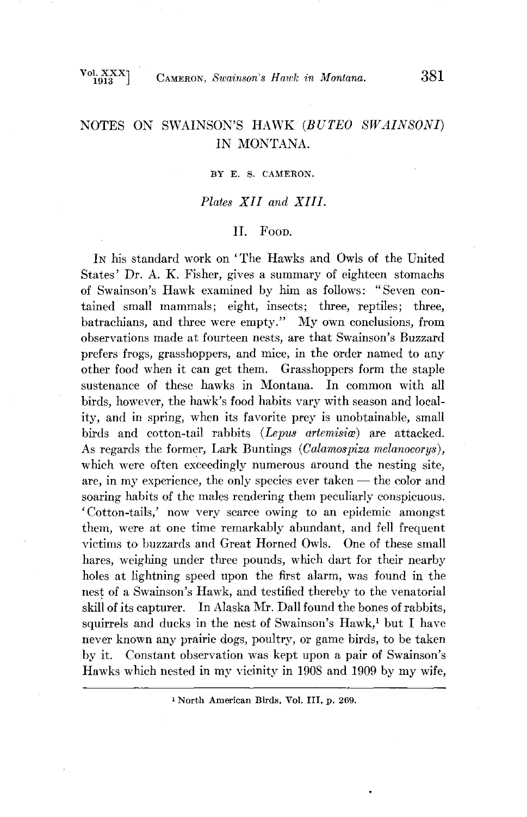# NOTES ON SWAINSON'S HAWK (BUTEO SWAINSONI) **IN MONTANA.**

#### **BY E. S. CAMERON.**

### **Plates XII and XIII.**

#### **II.** Foon.

In his standard work on 'The Hawks and Owls of the United **States' Dr. A. K. Fisher, gives a summary of eighteen stomachs of Swainson's Hawk examined by him as follows: "Seven contained small mammals; eight, insects; three, reptiles; three, batrachians, and three were empty." My own conclusions, from observations made at fourteen nests, are that Swainson's Buzzard prefers frogs, grasshoppers, and mice, in the order named to any other food when it can get them. Grasshoppers form the staple sustenance of these hawks in Montana. In common with all birds, however, the hawk's food habits vary with season and locality, and in spring, when its favorite prey is unobtainable, small**  birds and cotton-tail rabbits (Lepus artemisiae) are attacked. As regards the former, Lark Buntings (Calamospiza melanocorys), **which were often exceedingly numerous around the nesting site,**  are, in my experience, the only species ever taken — the color and **soaring habits of the males rendering them peculiarly conspicuous. 'Cotton-tails,' now very scarce owing to an epidemic amongst them, were at one time remarkably abundant, and fell frequent victims to buzzards and Great Horned Owls. One of these small hares, weighing under three pounds, which dart for their nearby holes at lightning speed upon the first alarm, was found in the nest of a Swainson's Hawk, and testified thereby to the venatorial**  skill of its capturer. In Alaska Mr. Dall found the bones of rabbits, squirrels and ducks in the nest of Swainson's Hawk,<sup>1</sup> but I have **never known any prairie dogs, poultry, or game birds, to be taken by it. Constant observation was kept upon a pair of Swainson's Hawks which nested in my vicinity in 1908 and 1909 by my wife,** 

**North American Birds, Vol. III, p. 269.**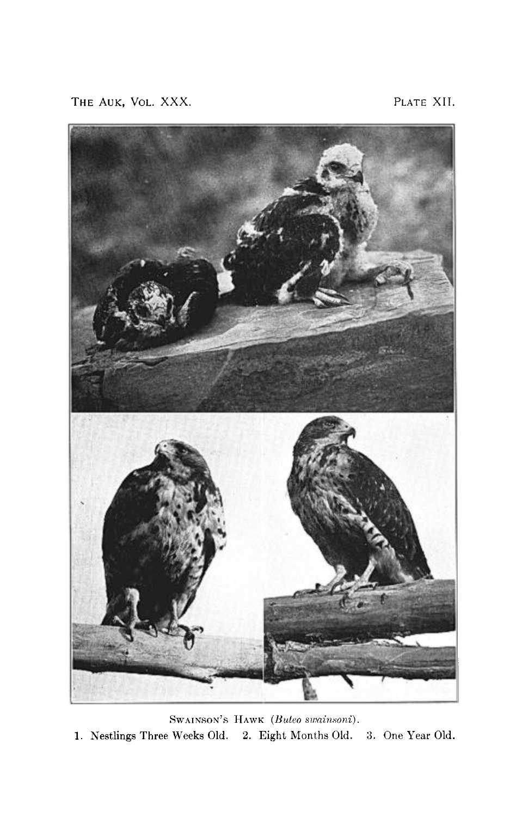THE AUK, VOL. XXX. **PLATE XII.** 



SWAINSON'S HAWK (Buteo swainsoni). **1. Nestlings Three Weeks 01d. 2. Eight Months 01d. 3. One Year 01d.**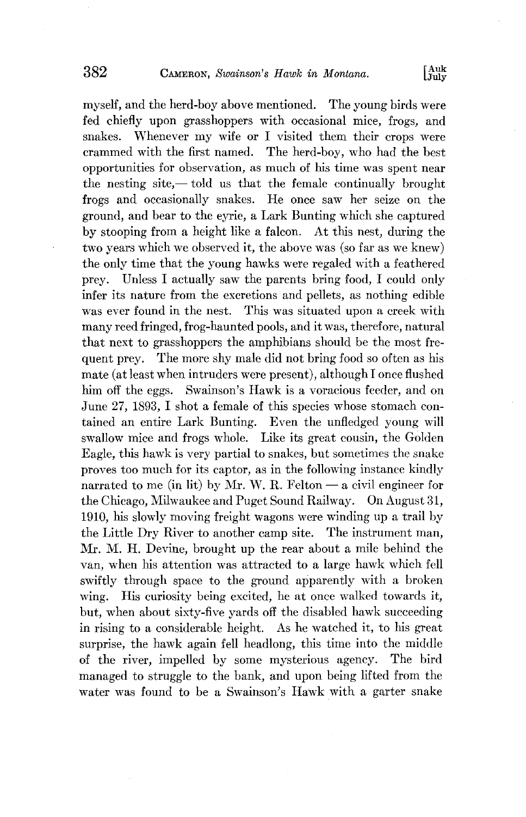**myself, and the herd-boy above mentioned. The young birds were fed chiefly upon grasshoppers with occasional mice, frogs, and**  snakes. Whenever my wife or I visited them their crops were crammed with the first named. The herd-boy, who had the best The herd-boy, who had the best **opportunities for observation, as much of his time was spent near**  the nesting site,—told us that the female continually brought **frogs and occasionally snakes. He once saw her seize on the ground, and bear to the eyrie, a Lark Bunting which she captured by stooping from a height like a falcon. At this nest, during the two years which we observed it, the above was (so far as we knew) the only time that the young hawks were regaled with a feathered prey. Unless I actually saw the parents bring food, I could only infer its nature from the excretions and pellets, as nothing edible**  This was situated upon a creek with **many reed fringed, frog-haunted pools, and it was, therefore, natural that next to grasshoppers the amphibians should be the most frequent prey. The more shy male did not bring food so often as his**  mate (at least when intruders were present), although I once flushed **him off the eggs. Swainson's Hawk is a voracious feeder, and on June 27, 1893.** I shot a female of this species whose stomach con**rained an entire Lark Bunting. Even the unfledged young will swallow mice and frogs whole. Like its great cousin, the Golden Eagle, this hawk is very partial to snakes, but sometimes the snake proves too much for its captor, as in the following instance kindly**  narrated to me (in lit) by Mr. W. R. Felton  $-$  a civil engineer for **the Chicago, Milwaukee and Puget Sound Railway. On August 31, 1910, his slowly moving freight wagons were winding up a trail by the Little Dry River to another camp site. The instrument man, Mr. M. H. Devine, brought up the rear about a mile behind the van, when his attention was attracted to a large hawk which fell swiftly through space to the ground apparently with a broken wing. His curiosity being excited, he at once walked towards it, but, when about sixty-five yards off the disabled hawk succeeding in rising to a considerable height. As he watched it, to his great surprise, the hawk again fell headlong, this time into the middle of the river, impelled by some mysterious agency. The bird managed to struggle to the bank, and upon being lifted from the water was found to be a Swainson's Hawk with a garter snake**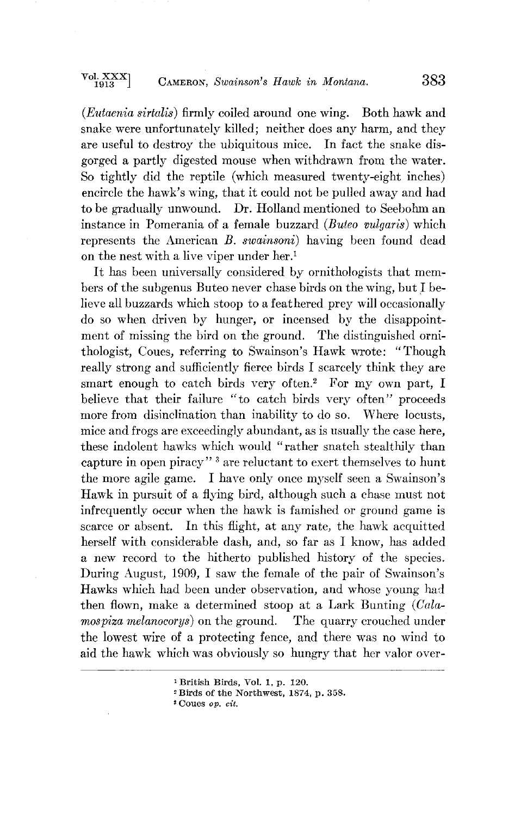**(Eutaenia sirtalis) firmly coiled around one wing. Both hawk and snake were unfortunately killed; neither does any harm, and they are useful to destroy the ubiquitous mice. In fact the snake disgorged a partly digested mouse when withdrawn from the water. So tightly did the reptile (which measured twenty-eight inches) encircle the hawk's wing, that it could not be pulled away and had to be gradually unwound. Dr. Holland mentioned to Seebohm an instance in Porecrania of a female buzzard (Buteo vulgaris) which represents the American B. swainsoni) having been found dead on the nest with a live viper under her?** 

**It has been universally considered by ornithologists that members of the subgenus Buteo never chase birds on the wing, but ! believe all buzzards which stoop to a feathered prey will occasionally do so when driven by hunger, or incensed by the disappointment of missing the bird on the ground. The distinguished ornithologist, Coues, referring to Swainson's Hawk wrote: "Though really strong and sufficiently fierce birds I scarcely think they are smart enough to catch birds very often? For my own part, I believe that their failure "to catch birds very often" proceeds more from disinclination than inability to do so. Where locusts, mice and frogs are exceedingly abundant, as is usually the case here, these indolent hawks which would "rather snatch stealthily than**  capture in open piracy"<sup>3</sup> are reluctant to exert themselves to hunt **the more agile game. I have only once myself seen a Swainson's Hawk in pursuit of a flying bird, although such a chase must not infrequently occur when the hawk is famished or ground game is scarce or absent. In this flight, at any rate, the hawk acquitted herself with considerable dash, and, so far as I know, has added a new record to the tfitherto published history of the species. During August, 1909, I saw the female of the pair of Swainsoh's**  Hawks which had been under observation, and whose young had then flown, make a determined stoop at a Lark Bunting (Cala*mospiza melanocorys*) on the ground. The quarry crouched under **the lowest wire of a protecting fence, and there was no wind to aid the hawk which was obviously so hungry that her valor over-**

**British Birds, ¾ol. 1, p. 120.** 

**<sup>&</sup>quot;irds of •he Northwest, 1874, p. 358.** 

<sup>&</sup>lt;sup>8</sup> Coues *op. cit.*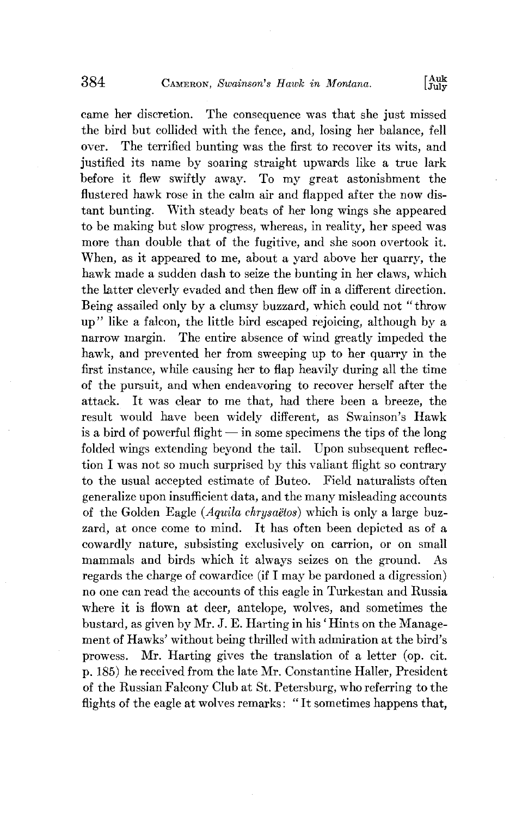**came her discretion. The consequence was that she just missed**  the bird but collided with the fence, and, losing her balance, fell over. The terrified bunting was the first to recover its wits, and The terrified bunting was the first to recover its wits, and justified its name by soaring straight upwards like a true lark **before it flew swiftly away. To my great astonishment the flustered hawk rose in the calm air and flapped after the now distant bunting. With steady beats of her long wings she appeared to be making but slow progress, whereas, in reality, her speed was more than double that of the fugitive, and she soon overtook it. When, as it appeared to me, about a yard above her quarry, the hawk made a sudden dash to seize the bunting in her claws, which the latter cleverly evaded and then flew off in a different direction. Being assailed only by a clumsy buzzard, which could not "throw up" like a falcon, the little bird escaped rejoicing, although by a narrow margin. The entire absence of wind greatly impeded the**  hawk, and prevented her from sweeping up to her quarry in the first instance, while causing her to flap heavily during all the time **of the pursuit, and when endeavoring to recover herself after the attack. It was clear to me that, had there been a breeze, the result would have been widely different, as Swainson's Hawk**   $\frac{1}{18}$  is a bird of powerful flight  $\frac{1}{18}$  in some specimens the tips of the long **folded wings extending beyond the tail. Upon subsequent reflection I was not so much surprised by this valiant flight so contrary to the usual accepted estimate of Butco. Field naturalists often generalize upon insufficient data, and the many misleading accounts**  of the Golden Eagle (*Aquila chrysaëtos*) which is only a large buz**zard, at once come to mind. It has often been depicted as of a cowardly nature, subsisting exclusively on carrion, or on small mammals and birds which it always seizes on the ground. As regards the charge of cowardice (if I may be pardoned a digression)**  no one can read the accounts of this eagle in Turkestan and Russia **where it is flown at deer, antelope, wolves, and sometimes the bustard, as given by Mr. J. E. Hatting in his' Hints on the Management of Hawks' without being thrilled with admiration at the bird's prowess. Mr. Hatting gives the translation of a letter (op. eit. p. 185) he received from the late Mr. Constantine Hailer, President of the Russian Faleony Club at St. Petersburg, who referring to the flights of the eagle at wolves remarks: "It sometimes happens that,**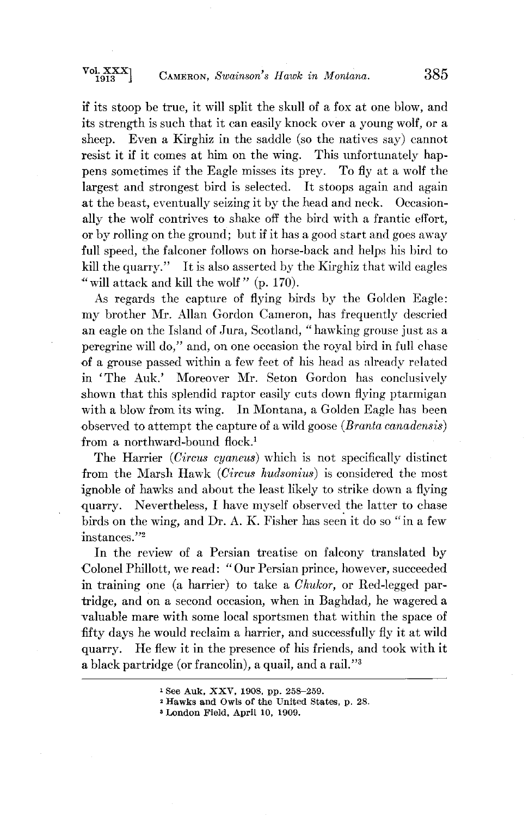**if its stoop be true, it will split the skull of a fox at one blow, and its strength is such that it can easily knock over a young wolf, or a sheep. Even a Kirghiz in the saddle (so the natives say) cannot resist it if it comes at him on the wing. This unfortunately happens sometimes if the Eagle misses its prey.** To fly at a wolf the **largest and strongest bird is selected. It stoops again and again at the beast, eventually seizing it by the head and neck. Occasionally the wolf contrives to shake off the bird with a frantic effort, or by rolling on the ground; but if it has a good start and goes away full speed, the falconer follows on horse-back and helps his bird to kill the quarry." It is also asserted by the Kirghiz that wild eagles "'will attack and kill the wolf" (p. 170).** 

**As regards the capture of flying birds by the Golden Eagle: my brother Mr. Allan Gordon Cameron, has frequently descried an eagle on the Island of Jura, Scotland, "hawking grouse just as a peregrine will do," and, on one occasion the royal bird in full chase**  of a grouse passed within a few feet of his head as already related **in 'The Auk.' Moreover Mr. Seton Gordon has conclusively .shown that this splendid raptor easily cuts down flying ptarmigan with a blow from its wing. In Montana, a Golden Eagle has been b**served to attempt the capture of a wild goose (*Branta canadensis*) from a northward-bound flock.<sup>1</sup>

**The Harrier (Circus cyaneus) which is not specifically distinct from the Marsh Hawk (Circus hudsonius) is considered the most ignoble of hawks and about the least likely to strike down a flying ß quarry. Nevertheless, I have myself observed the latter to chase birds on the wing, and Dr. A. K. Fisher has seen it do so "in a few instances."2** 

**In the review of a Persian treatise on falcony translated by Colonel Philloft, we read: "Our Persian prince, however, succeeded in training one (a harrier) to take a Chukor, or Red-legged partridge, and on a second occasion, when in Baghdad, he wagered a valuable mare with some local sportsmen that within the space of fifty days he would reclaim a harrier, and successfully fly it at wild quarry. He flew it in the presence of his friends, and took with it a black partridge (or francolin), a quail, and a rail. "a** 

**See Auk, XXV, 1908, pp. 258-259.** 

<sup>&</sup>lt;sup>2</sup> Hawks and Owls of the United States, p. 28.

**London Field, April 10, 1909.**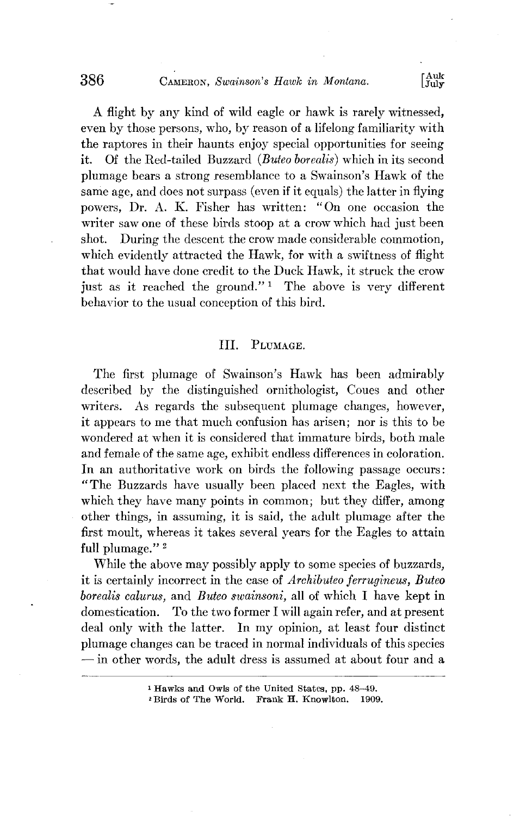# **AUGE CAMERON, Swainson's Hawk in Montana.** [Aug. ]

**A flight by any kind of wild eagle or hawk is rarely witnessed, even by those persons, who, by reason of a lifelong familiarity with the raptores in their haunts enjoy special opportunities for seeing it.** Of the Bed-tailed Buzzard *(Buteo borealis)* which in its second Of the Red-tailed Buzzard (Buteo borealis) which in its second plumage bears a strong resemblance to a Swainson's Hawk of the **same age, and does not surpass (even if it equals) the latter in flying**  powers, Dr. A. K. Fisher has written: "On one occasion the writer saw one of these birds stoop at a crow which had just been shot. During the descent the crow made considerable commotion. During the descent the crow made considerable commotion, **which evidently attracted the Hawk, for with a swiftness of flight that would have done credit to the Duck Hawk, it struck the crow**  just as it reached the ground."<sup>1</sup> The above is very different **behavior to the usual conception of this bird.** 

#### TIT. PLUMAGE.

The first plumage of Swainson's Hawk has been admirably **described by the distinguished ornithologist, Coues and other writers. As regards the subsequent plumage changes, however, it appears to me that much confusion has arisen; nor is this to be wondered at when it is considered that immature birds, both male and female of the same age, exhibit endless differences in coloration. In an authoritative work on birds the following passage occurs: "The Buzzards have usually been placed next the Eagles, with**  which they have many points in common; but they differ, among **other things, in assuming, it is said, the adult plumage after the first moult, whereas it takes several years for the Eagles to attain**  full plumage."<sup>2</sup>

**While the above may possibly apply to some species of buzzards,**  it is certainly incorrect in the case of *Archibuteo ferrugineus*, *Buteo* **borealis calurus, and Buteo swainsoni, all of which I have kept in domestication.** To the two former I will again refer, and at present **domestication. To the two former I will again refer, and at present deal only with the latter. In my opinion, at least four distinct plumage changes can be traced in normal individuals of this species -- in other words, the adult dress is assumed at about four and a** 

**Hawks and Owls of the United States, pp. 48-49.** 

<sup>&</sup>lt;sup>2</sup> Birds of The World. Frank **H.** Knowlton.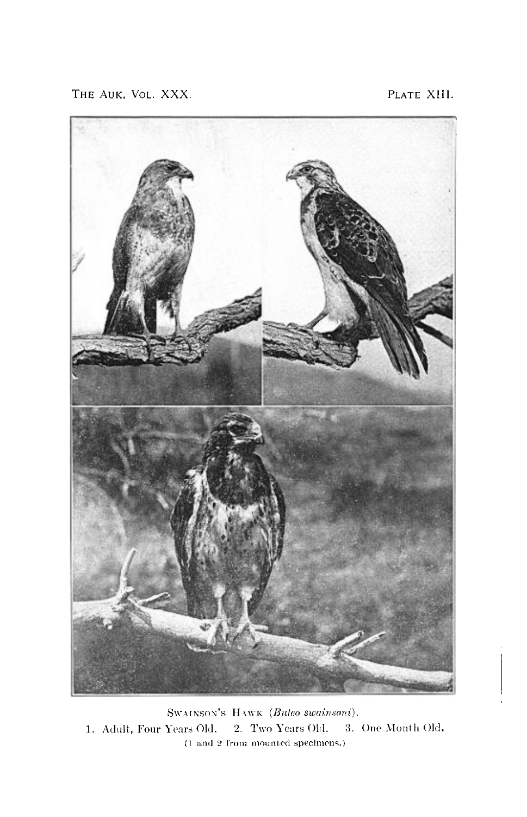THE AUK, VOL. XXX. **PLATE XIII.** 



Swainson's HAWK (Buteo swainsoni). **1. Adult, Four Years Old. 2. Two Years Old. 3. One Month Old. (1 and 2 from mounted specimens.)**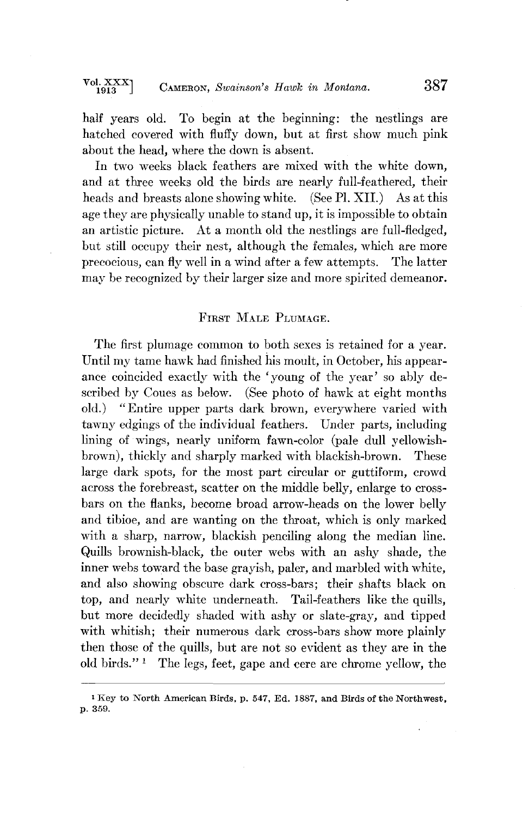**half years old. To begin at the beginning: the nestlings are hatched covered with fluffy down, but at first show much pink about the head, where the down is absent.** 

In two weeks black feathers are mixed with the white down. and at three weeks old the birds are nearly full-feathered, their **heads and breasts alone showing white. (See P1. XII.) As at this age they are physically unable to stand up, it is impossible to obtain**  an artistic picture. At a month old the nestlings are full-fledged, **but still occupy their nest, although the females, which are more precocious, can fly well in a wind after a few attempts. The latter may be recognized by their larger size and more spirited demeanor.** 

## FIRST MALE PLIMAGE.

The first plumage common to both sexes is retained for a year. **Until my tame hawk had finished his moult, in October, his appearanee coincided exactly with the 'young of the year' so ably de**scribed by Coues as below. (See photo of hawk at eight months old.) "Entire upper parts dark brown, everywhere varied with **old.) "Entire upper parts dark brown, everywhere varied with tawny edgings of the individual feathers. Under parts, including lining of wings, nearly uniform fawn-color (pale dull yellowishbrown), thickly and sharply marked with blackish-brown. These large dark spots, for the most part circular or guttiform, crowd**  across the forebreast, scatter on the middle belly, enlarge to cross**bars on the flanks, become broad arrow-heads on the lower belly**  and tibioe, and are wanting on the throat, which is only marked with a sharp, narrow, blackish penciling along the median line. **Quills brownish-black, the outer webs with an ashy shade, the inner webs toward the base grayish, paler, and marbled with white, and also showing obscure dark cross-bars; their shafts black on**  top, and nearly white underneath. Tail-feathers like the quills, **but more decidedly shaded with ashy or slate-gray, and tipped with whitish; their numerous dark cross-bars show more plainly then those of the quills, but are not so evident as they are in the old birds." • The legs, feet, gape and eere are ebrome yellow, the** 

<sup>&</sup>lt;sup>1</sup> Key to North American Birds, p. 547, Ed. 1887, and Birds of the Northwest, **p. 359.**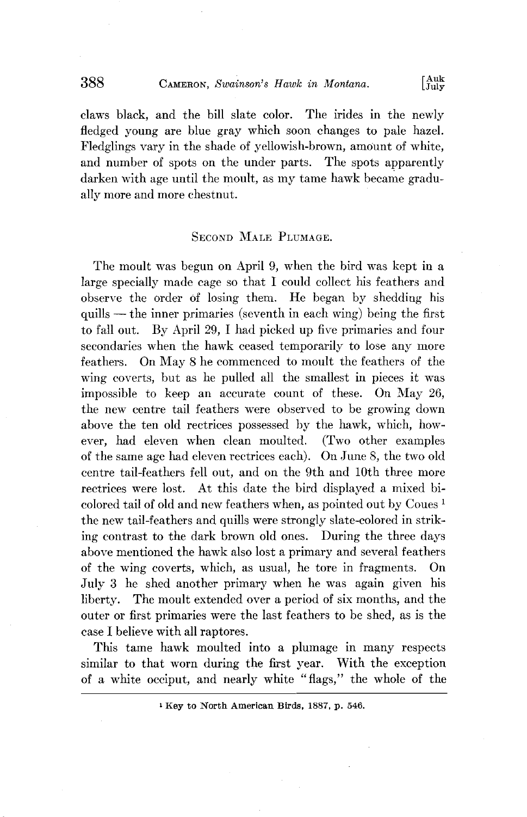**188 CAMERON, Swainson's Hawk in Montana.** [Auk **IIIII]** 

claws black, and the bill slate color. The irides in the newly fledged young are blue gray which soon changes to pale hazel. Fledglings vary in the shade of yellowish-brown, amount of white, and number of spots on the under parts. The spots apparently darken with age until the moult, as my tame hawk became gradu**ally more and more chestnut.** 

#### **SECOND MALE PLUMAGE.**

The moult was begun on April 9, when the bird was kept in a large specially made cage so that I could collect his feathers and **observe** the order of losing them. He began by shedding his **quills -- the inner primm'ies (seventh in each wing) being the first to fall out. By April 29, I had picked up five primaries and four**  secondaries when the hawk ceased temporarily to lose any more **feathers. On May 8 he commenced to moult the feathers of the wing coverts, but as he pulled all the smallest in pieces it was impossible to keep an accurate count of these. On May 26, the new centre tail feathers were observed to be growing down above the ten old teetrices possessed by the hawk, which, how~ ever, had eleven when clean moulted. (Two other examples of the same age had eleven teetrices each). On June 8, the two old centre tail-feathers fell out, and on the 9th and 10th three more**  rectrices were lost. At this date the bird displayed a mixed bi**colored tail of old and new feathers when, as pointed out by Coues • the new tail-feathers and quills were strongly slate-colored in striking contrast to the dark brown old ones. During the three days above mentioned the hawk also lost a prinmry and several feathers of the wing coverts, which, as usual, he tore in fragments. On**  July 3 he shed another primary when he was again given his **liberty. The moult extended over a period of six months, and the outer or first primaries were the last feathers to be shed, as is the ease I believe with all raptores.** 

This tame hawk moulted into a plumage in many respects similar to that worn during the first year. With the exception of a white oeciput, and nearly white "flags," the whole of the

<sup>&</sup>lt;sup>1</sup> Key to North American Birds, 1887, p. 546.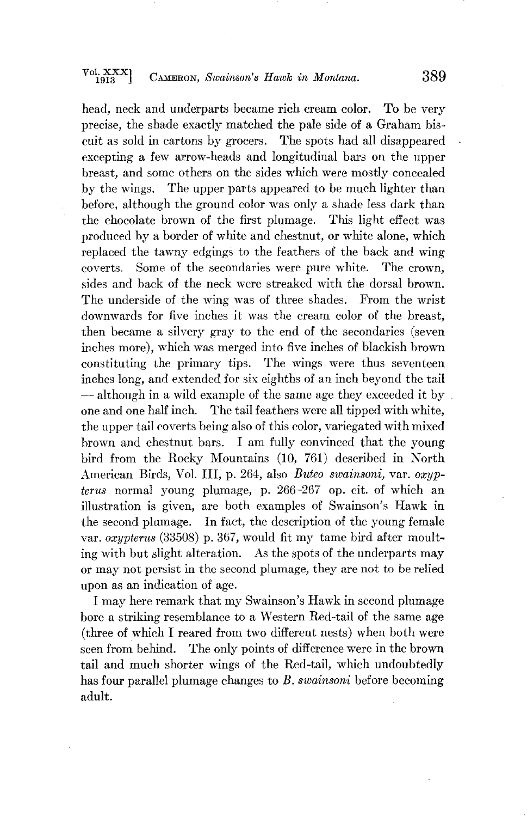**head, neck and underparts became rich cream color. To be very precise, the shade exactly matched the pale side of a Graham biscuit as sold in cartons by grocers. The spots had all disappeared excepting a few arrow-heads and longitudinal bars on the upper breast, and some others on the sides which were mostly concealed by the wings. The upper parts appeared to be much lighter than before, although the ground color was only a shade less dark than the chocolate brown of the first plumage. This light effect was produced by a border of white and chestnut, or white alone, which replaced the tawny edgings to the feathers of the back and wing**  Some of the secondaries were pure white. **sides and back of the neck were streaked with the dorsal brown. The underside of the wing was of three shades. From the wrist downwards for five inches it was the cream color of the breast, then became a silvery gray to the end of the secondaries (seven inches more), which was merged into five inches of blackish brown constituting the primary tips. The wings were thus seventeen inches long, and extended for six eighths of an inch beyond the tail -- although in a wild example of the same age they exceeded it by . one and one half inch. The tail feathers were all tipped with white, the upper tail coverts being also of this color, variegated with mixed brown and chestnut bars. I am fully convinced that the young bird from the Rocky Mountains (10, 761) described in North American Birds, Vol. III, p. 264, also Buteo swainsoni, var. oxyptorus normal young plumage, p. 266-267 op. cit. of which an illustration is given, are both examples of Swainson's Hawk in the second plumage. In fact, the description of the young female var. oxypterus (33508) p. 367, would fit my tame bird after moulting with but slight alteration. As the spots of the underparts may or may not persist in the second plumage, they are not to be relied upon as an indication of age.** 

**I may here remark that my Swalnson's Hawk in second plumage bore a striking resemblance to a Western Red-tail of the same age (three of which I reared from two different nests) when both were**  seen from behind. The only points of difference were in the brown tail and much shorter wings of the Red-tail, which undoubtedly **has four parallel plumage changes to B. swainsoni before becoming adult.**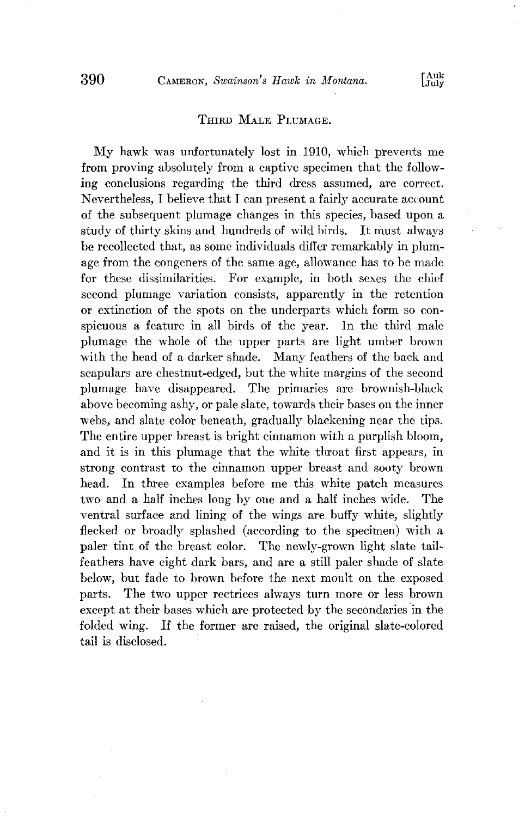#### **THIRD MALE PLUMAGE.**

**My hawk was unfortunately lost in 1910, which prevents me from proving absolutely from a captive specimen that the following conclusions regarding the third dress assumed, are correct. Nevertheless, I believe that I can present a fairly accurate account of the subsequent plumage changes in this species, based upon a study of thirty skins and hundreds of wild birds. It must always be recollected that, as some individuals differ remarkably in plum**age from the congeners of the same age, allowance has to be made for these dissimilarities. For example, in both sexes the chief **second plmnage variation consists, apparently in the retention or extinction of the spots on the underparts which form so con**spicuous a feature in all birds of the year. In the third male plumage the whole of the upper parts are light umber brown **with the head of a darker shade. Many feathers of the back and scapulars are chestnut-edged, but the white margins of the second plumage** have disappeared. The primaries are brownish-black **'above becoming ashy, or pale slate, towards their bases on the inner webs, and slate color beneath, gradually blackening near the tips. The entire upper breast is bright cinnamon with a purplish bloom,**  and it is in this plumage that the white throat first appears, in strong contrast to the cinnamon upper breast and sooty brown **head. In three exmnples before me this white patch measures**  two and a half inches long by one and a half inches wide. **ventral surface and lining of the wings are buffy white, slightly**  flecked or broadly splashed (according to the specimen) with a **paler tint of the breast color. The newly-grown light slate tailfeathers have eight dark bars, and are a still paler shade of slate below, but fade to brown before the next moult on the exposed parts. The two upper teetrices always turn more or less brown**  except at their bases which are protected by the secondaries in the folded wing. If the former are raised, the original slate-colored If the former are raised, the original slate-colored **tail is disclosed.**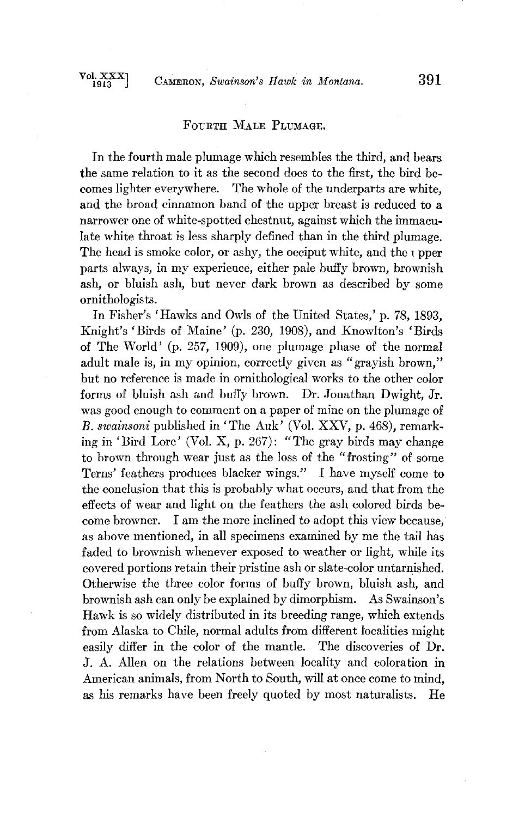#### **FOURTH MALE PLUMAGE.**

**In the fourth male plumage which resembles the third, and bears the same relation to it as the second does to the first, the bird becomes lighter everywhere. The whole of the underparts are white, and the broad cinnamon band of the upper breast is reduced to a narrower one of white-spotted chestnut, against which the immaculate white throat is less sharply defined than in the third plumage.**  The head is smoke color, or ashy, the occiput white, and the  $\iota$  pper **parts always, in my experience, either pale buffy brown, brownish ash, or bluish ash, but never dark brown as described by some ornithologists.** 

**In Fisher's 'Hawks and Owls of the United States,' p. 78, 1893, Knight's 'Birds of Maine' (p. 230, 1908), and Knowlton's 'Birds of The World' (p. 257, 1909), one plmnage phase of the normal adult male is, in my opinion, correctly given as "grayish brown," but no reference is made in ornithological works to the other color forms of bluish ash and buffy brown. Dr. Jonathan Dwight, Jr. was good enough to comment on a paper of mine on the plumage of**  B. swainsoni published in 'The Auk' (Vol. XXV, p. 468), remark**ing in ' Bird Lore' (Vol. X, p. 267): "The gray birds may change to brown through wear just as the loss of the "frosting" of some Terns' feathers produces blacker wings." I have myself come to the conclusion that this is probably what occurs, and that from the effects of wear and light on the feathers the ash colored birds be~ come browner. I am the more inclined to adopt this view because, as above mentioned, in all specimens examined by me the tail has faded to brownish whenever exposed to weather or light, while its covered portions retain their pristine ash or slate-color untarnished. Otherwise the three color forms of buffy brown, bluish ash, and brownish ash can only be explained by dimorphism. As Swainsoh's Hawk is so widely distributed in its breeding range, which extends from Alaska to Chile, normal adults from different localities might easily differ in the color of the mantle. The discoveries of Dr. J. A. Allen on the relations between locality and coloration in American animals, from North to South, will at once come to mind,**  as his remarks have been freely quoted by most naturalists. He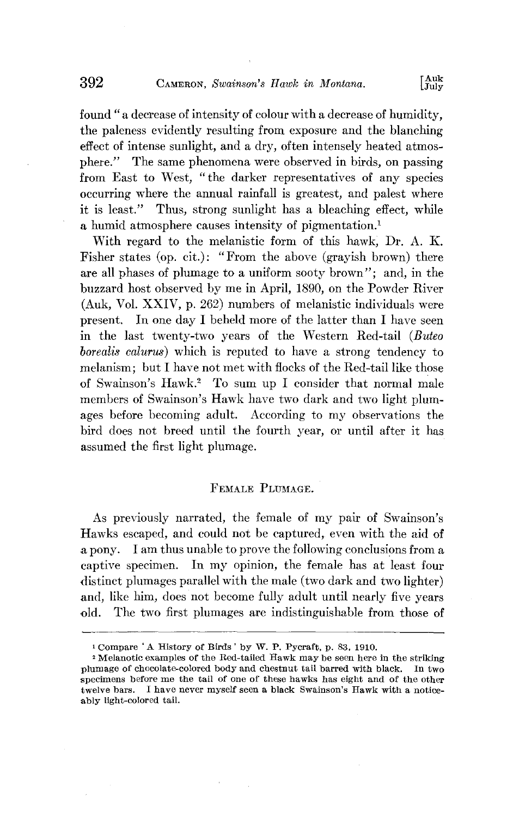**found "a decrease of intensity of colour with a decrease of humidity, the paleness evidently resulting from exposure and the blanching effect of intense sunlight, and a dry, often intensely heated atmosphere." The same phenomena were observed in birds, on passing from East to West, "the darker representatives of any species occurring where the annual rainfall is greatest, and palest where it is least." Thus, strong sunlight has a bleaching effect, while**  a humid atmosphere causes intensity of pigmentation.<sup>1</sup>

**With regard to the melanistic form of this hawk, Dr. A. K. Fisher states (op. cit.): "From the above (grayish brown) there are all phases of plumage to a uniform sooty brown"; and, in the buzzard host observed by me in April, 1890, on the Powder River (Auk, Vol. XXIV, p. 262) numbers of melanistic individuals were present. In one day I beheld more of the latter than I have seen in the last twenty-two years of the Western Red-tail (Buteo borealis calurus) which is reputed to have a strong tendency to melanism; but I have not met with flocks of the Red-tail like those**  of Swainson's Hawk.<sup>2</sup> To sum up I consider that normal male members of Swainson's Hawk have two dark and two light plum**ages before becoming adult. According to my ohservations the hird does not breed until the fourth year, or until after it has assumed the first light plumage.** 

#### **FEMALE PLUMAGE.**

**As previously narrated, the female of my pair of Swainson's Hawks escaped, and could not be captured, even with the aid of a pony. I am thus unahle to prove the following conclusions from a captive specimen. In my opinion, the female has at least four distinct plumages parallel with the male (two dark and two lighter) and, like him, does not become fully adult until nearly five years old. The two first plumages are indistinguishable from those of** 

<sup>&</sup>lt;sup>1</sup> Compare 'A History of Birds ' by W. P. Pycraft, p. 83, 1910.

**<sup>•</sup> Melanotic examples of the Red-tailed Hawk may be seen here in the striking plumage of chocolate-colored body and chestnut tail barred with black. In two specimens before me the tail of one of these hawks has eight and of the other**  twelve bars. I have never myself seen a black Swainson's Hawk with a notice**ably light-colored tail.**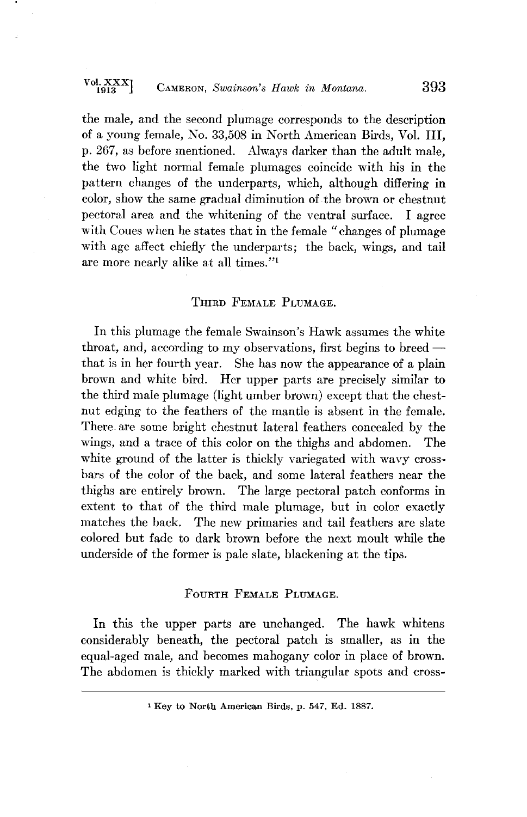# **Vol. XXXI 1913 J CAMERON, Swainsoh's Hawk in Montana. 393**

the male, and the second plumage corresponds to the description **of a young female, No. 33,508 in North American Birds, Vol. III, p. 267, as before mentioned. Alw. ays darker than the adult male, the two light normal female plumages coincide with his in the pattern changes of the underparts, which, although differing in color, show the same gradual diminution of the brown or chestnut pectoral area and the whitening of the ventral surface. I agree with Coues when he states that in the female "changes of plumage with age affect chiefly the underparts; the back, wings, and tail are more nearly alike at all times. "•** 

#### THIRD FEMALE PLUMAGE.

**In this plumage the female Swainson's Hawk assumes the white**  throat, and, according to my observations, first begins to breed **that is in her fourth year. She has now the appearance of a plain brown and white bird. Her upper parts are precisely similar to the third male plumage (light umber brown) except that the chestnut edging to the feathers of the mantle is absent in the female. There are some bright chestnut lateral feathers concealed by the wings, and a trace of this color on the thighs and abdomen. The white ground of the latter is thickly variegated with wavy crossbars of the color of the back, and some lateral feathers near the thighs are entirely brown. The large pectoral patch conforms in extent to that of the third male plumage, but in color exactly matches the back. The new primaries and tail feathers are slate colored but fade to dark brown before the next moult while the underside of the former is pale slate, blackening at the tips.** 

## **FOURTH FEMALE PLUMAGE.**

**In this the upper parts are unchanged. The hawk whitens considerably beneath, the pectoral patch is smaller, as in the equal-aged male, and becomes mahogany color in place of brown. The abdomen is thickly marked with triangular spots and cross-** 

<sup>&</sup>lt;sup>1</sup> Key to North American Birds, p. 547, Ed. 1887.